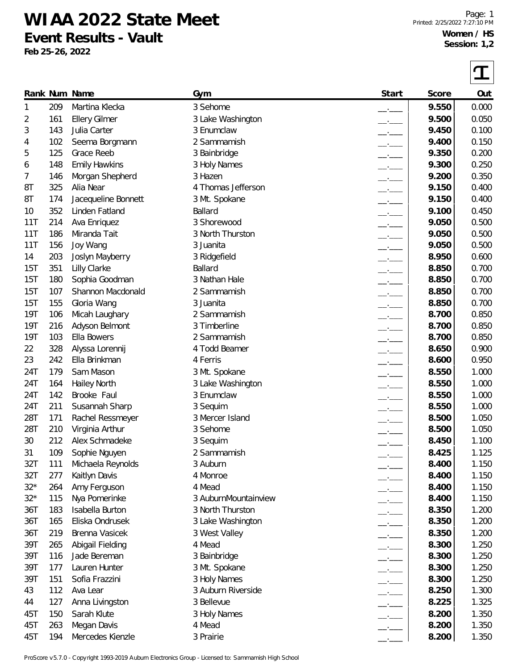## **WIAA 2022 State Meet Event Results - Vault**

**Feb 25-26, 2022**

 $\sqrt{ }$ 

|            |     |                      |                      |                                 |       | ┸     |
|------------|-----|----------------------|----------------------|---------------------------------|-------|-------|
|            |     | Rank Num Name        | Gym                  | Start                           | Score | Out   |
| 1          | 209 | Martina Klecka       | 3 Sehome             |                                 | 9.550 | 0.000 |
| 2          | 161 | <b>Ellery Gilmer</b> | 3 Lake Washington    | $-$                             | 9.500 | 0.050 |
| 3          | 143 | Julia Carter         | 3 Enumclaw           | $\overline{\phantom{a}}$        | 9.450 | 0.100 |
| 4          | 102 | Seema Borgmann       | 2 Sammamish          | $\overline{\phantom{a}}$        | 9.400 | 0.150 |
| 5          | 125 | Grace Reeb           | 3 Bainbridge         | $ -$                            | 9.350 | 0.200 |
| 6          | 148 | <b>Emily Hawkins</b> | 3 Holy Names         | $-$                             | 9.300 | 0.250 |
| 7          | 146 | Morgan Shepherd      | 3 Hazen              | $\overline{\phantom{a}}$        | 9.200 | 0.350 |
| 8T         | 325 | Alia Near            | 4 Thomas Jefferson   | $\overline{\phantom{a}}$        | 9.150 | 0.400 |
| 8T         | 174 | Jacequeline Bonnett  | 3 Mt. Spokane        | $ -$                            | 9.150 | 0.400 |
| 10         | 352 | Linden Fatland       | Ballard              | $ -$                            | 9.100 | 0.450 |
| 11T        | 214 | Ava Enriquez         | 3 Shorewood          | $ -$                            | 9.050 | 0.500 |
| 11T        | 186 | Miranda Tait         | 3 North Thurston     | $ -$                            | 9.050 | 0.500 |
| 11T        | 156 | Joy Wang             | 3 Juanita            | $-$                             | 9.050 | 0.500 |
| 14         | 203 | Joslyn Mayberry      | 3 Ridgefield         | $\overline{\phantom{a}}$        | 8.950 | 0.600 |
| 15T        | 351 | Lilly Clarke         | Ballard              | $\overline{\phantom{a}}$        | 8.850 | 0.700 |
| 15T        | 180 | Sophia Goodman       | 3 Nathan Hale        | $ -$                            | 8.850 | 0.700 |
| 15T        | 107 | Shannon Macdonald    | 2 Sammamish          | $\overline{\phantom{a}}$        | 8.850 | 0.700 |
| 15T        | 155 | Gloria Wang          | 3 Juanita            | $\overline{\phantom{a}}$        | 8.850 | 0.700 |
| 19T        | 106 | Micah Laughary       | 2 Sammamish          | $-$                             | 8.700 | 0.850 |
| <b>19T</b> | 216 | Adyson Belmont       | 3 Timberline         | $\overline{\phantom{a}}$        | 8.700 | 0.850 |
| <b>19T</b> | 103 | Ella Bowers          | 2 Sammamish          | $-$                             | 8.700 | 0.850 |
| 22         | 328 | Alyssa Lorennij      | 4 Todd Beamer        | $\overline{\phantom{a}}$        | 8.650 | 0.900 |
| 23         | 242 | Ella Brinkman        | 4 Ferris             | $\overline{\phantom{a}}$        | 8.600 | 0.950 |
| 24T        | 179 | Sam Mason            | 3 Mt. Spokane        | $\overline{\phantom{iiiiiiii}}$ | 8.550 | 1.000 |
| 24T        | 164 | <b>Hailey North</b>  | 3 Lake Washington    | $   -$                          | 8.550 | 1.000 |
| 24T        | 142 | Brooke Faul          | 3 Enumclaw           | $-$                             | 8.550 | 1.000 |
| 24T        | 211 | Susannah Sharp       | 3 Sequim             | $\overline{\phantom{a}}$        | 8.550 | 1.000 |
| 28T        | 171 | Rachel Ressmeyer     | 3 Mercer Island      |                                 | 8.500 | 1.050 |
| 28T        | 210 | Virginia Arthur      | 3 Sehome             |                                 | 8.500 | 1.050 |
| 30         | 212 | Alex Schmadeke       | 3 Sequim             |                                 | 8.450 | 1.100 |
| 31         | 109 | Sophie Nguyen        | 2 Sammamish          |                                 | 8.425 | 1.125 |
| 32T        | 111 | Michaela Reynolds    | 3 Auburn             | --                              | 8.400 | 1.150 |
| 32T        | 277 | Kaitlyn Davis        | 4 Monroe             |                                 | 8.400 | 1.150 |
| $32*$      | 264 | Amy Ferguson         | 4 Mead               | $ -$                            | 8.400 | 1.150 |
| $32*$      | 115 | Nya Pomerinke        | 3 AuburnMountainview | $ -$                            | 8.400 | 1.150 |
| 36T        | 183 | Isabella Burton      | 3 North Thurston     | $-1$                            | 8.350 | 1.200 |
| 36T        | 165 | Eliska Ondrusek      | 3 Lake Washington    | $\overline{\phantom{a}}$        | 8.350 | 1.200 |
| 36T        | 219 | Brenna Vasicek       | 3 West Valley        | $ -$                            | 8.350 | 1.200 |
| 39T        | 265 | Abigail Fielding     | 4 Mead               | $-$                             | 8.300 | 1.250 |
| 39T        | 116 | Jade Bereman         | 3 Bainbridge         | $-$                             | 8.300 | 1.250 |
| 39T        | 177 | Lauren Hunter        | 3 Mt. Spokane        | $ -$                            | 8.300 | 1.250 |
| 39T        | 151 | Sofia Frazzini       | 3 Holy Names         | $-$                             | 8.300 | 1.250 |
| 43         | 112 | Ava Lear             | 3 Auburn Riverside   | $ -$                            | 8.250 | 1.300 |
| 44         | 127 | Anna Livingston      | 3 Bellevue           | $  -$                           | 8.225 | 1.325 |
| 45T        | 150 | Sarah Klute          | 3 Holy Names         | $  -$                           | 8.200 | 1.350 |
| 45T        | 263 | Megan Davis          | 4 Mead               |                                 | 8.200 | 1.350 |
| 45T        | 194 | Mercedes Kienzle     | 3 Prairie            |                                 | 8.200 | 1.350 |

ProScore v5.7.0 - Copyright 1993-2019 Auburn Electronics Group - Licensed to: Sammamish High School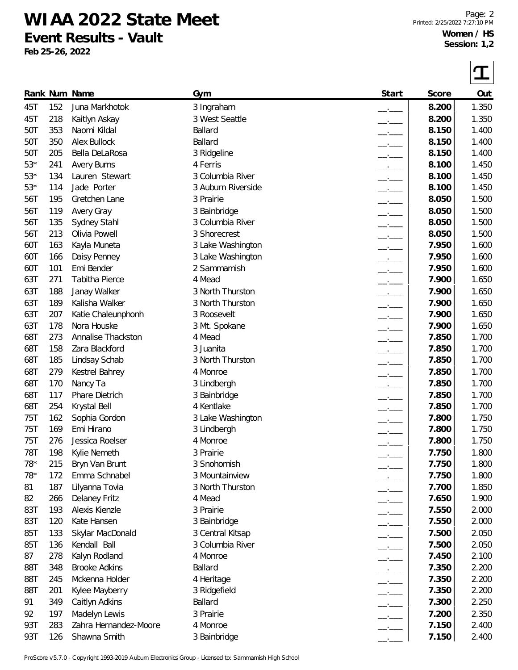**WIAA 2022 State Meet Event Results - Vault**

**Feb 25-26, 2022**

 $\sqrt{ }$ 

|            |     | Rank Num Name         | Gym                | Start                    | Score | Out   |
|------------|-----|-----------------------|--------------------|--------------------------|-------|-------|
| 45T        | 152 | Juna Markhotok        | 3 Ingraham         | $-1$                     | 8.200 | 1.350 |
| 45T        | 218 | Kaitlyn Askay         | 3 West Seattle     | $ -$                     | 8.200 | 1.350 |
| 50T        | 353 | Naomi Kildal          | Ballard            | $ -$                     | 8.150 | 1.400 |
| 50T        | 350 | <b>Alex Bullock</b>   | Ballard            | $-$                      | 8.150 | 1.400 |
| 50T        | 205 | Bella DeLaRosa        | 3 Ridgeline        | $-$                      | 8.150 | 1.400 |
| $53*$      | 241 | <b>Avery Burns</b>    | 4 Ferris           | $ -$                     | 8.100 | 1.450 |
| $53*$      | 134 | Lauren Stewart        | 3 Columbia River   | $-$                      | 8.100 | 1.450 |
| $53*$      | 114 | Jade Porter           | 3 Auburn Riverside | $-$                      | 8.100 | 1.450 |
| 56T        | 195 | Gretchen Lane         | 3 Prairie          | $-1$                     | 8.050 | 1.500 |
| 56T        | 119 | Avery Gray            | 3 Bainbridge       | $-1$                     | 8.050 | 1.500 |
| 56T        | 135 | Sydney Stahl          | 3 Columbia River   | $ -$                     | 8.050 | 1.500 |
| 56T        | 213 | Olivia Powell         | 3 Shorecrest       | $-1$                     | 8.050 | 1.500 |
| 60T        | 163 | Kayla Muneta          | 3 Lake Washington  | $ -$                     | 7.950 | 1.600 |
| 60T        | 166 | Daisy Penney          | 3 Lake Washington  |                          | 7.950 | 1.600 |
| 60T        | 101 | Emi Bender            | 2 Sammamish        | $ -$                     | 7.950 | 1.600 |
| 63T        | 271 | Tabitha Pierce        | 4 Mead             | $-1$                     | 7.900 | 1.650 |
| 63T        | 188 | Janay Walker          | 3 North Thurston   | $\overline{\phantom{a}}$ | 7.900 | 1.650 |
| 63T        | 189 | Kalisha Walker        | 3 North Thurston   | $ -$                     | 7.900 | 1.650 |
| 63T        | 207 | Katie Chaleunphonh    | 3 Roosevelt        | $-$                      | 7.900 | 1.650 |
| 63T        | 178 | Nora Houske           | 3 Mt. Spokane      | $-$                      | 7.900 | 1.650 |
| 68T        | 273 | Annalise Thackston    | 4 Mead             | $\overline{\phantom{a}}$ | 7.850 | 1.700 |
| 68T        | 158 | Zara Blackford        | 3 Juanita          | $\overline{\phantom{a}}$ | 7.850 | 1.700 |
| 68T        | 185 | Lindsay Schab         | 3 North Thurston   | $-$                      | 7.850 | 1.700 |
| 68T        | 279 | Kestrel Bahrey        | 4 Monroe           | $-1$                     | 7.850 | 1.700 |
| 68T        | 170 | Nancy Ta              | 3 Lindbergh        | $ -$                     | 7.850 | 1.700 |
| 68T        | 117 | Phare Dietrich        | 3 Bainbridge       | $ -$                     | 7.850 | 1.700 |
| 68T        | 254 | Krystal Bell          | 4 Kentlake         | $-1$                     | 7.850 | 1.700 |
| <b>75T</b> | 162 | Sophia Gordon         | 3 Lake Washington  |                          | 7.800 | 1.750 |
| 75T        | 169 | Emi Hirano            | 3 Lindbergh        |                          | 7.800 | 1.750 |
| 75T        | 276 | Jessica Roelser       | 4 Monroe           |                          | 7.800 | 1.750 |
| 78T        | 198 | Kylie Nemeth          | 3 Prairie          |                          | 7.750 | 1.800 |
| 78*        | 215 | Bryn Van Brunt        | 3 Snohomish        |                          | 7.750 | 1.800 |
| 78*        | 172 | Emma Schnabel         | 3 Mountainview     | $ -$                     | 7.750 | 1.800 |
| 81         | 187 | Lilyanna Tovia        | 3 North Thurston   | $\overline{\phantom{a}}$ | 7.700 | 1.850 |
| 82         | 266 | <b>Delaney Fritz</b>  | 4 Mead             | $ -$                     | 7.650 | 1.900 |
| 83T        | 193 | Alexis Kienzle        | 3 Prairie          | $ -$                     | 7.550 | 2.000 |
| 83T        | 120 | Kate Hansen           | 3 Bainbridge       | $\overline{\phantom{a}}$ | 7.550 | 2.000 |
| 85T        | 133 | Skylar MacDonald      | 3 Central Kitsap   | $-$                      | 7.500 | 2.050 |
| 85T        | 136 | Kendall Ball          | 3 Columbia River   | $ -$                     | 7.500 | 2.050 |
| 87         | 278 | Kalyn Rodland         | 4 Monroe           | $\overline{\phantom{a}}$ | 7.450 | 2.100 |
| 88T        | 348 | <b>Brooke Adkins</b>  | Ballard            | $-$                      | 7.350 | 2.200 |
| 88T        | 245 | Mckenna Holder        | 4 Heritage         | $\overline{\phantom{a}}$ | 7.350 | 2.200 |
| 88T        | 201 | Kylee Mayberry        | 3 Ridgefield       | $ -$                     | 7.350 | 2.200 |
| 91         | 349 | Caitlyn Adkins        | Ballard            | $\overline{\phantom{a}}$ | 7.300 | 2.250 |
| 92         | 197 | Madelyn Lewis         | 3 Prairie          | $-$                      | 7.200 | 2.350 |
| 93T        | 283 | Zahra Hernandez-Moore | 4 Monroe           | $ -$                     | 7.150 | 2.400 |
| 93T        | 126 | Shawna Smith          | 3 Bainbridge       | $-$                      | 7.150 | 2.400 |

ProScore v5.7.0 - Copyright 1993-2019 Auburn Electronics Group - Licensed to: Sammamish High School